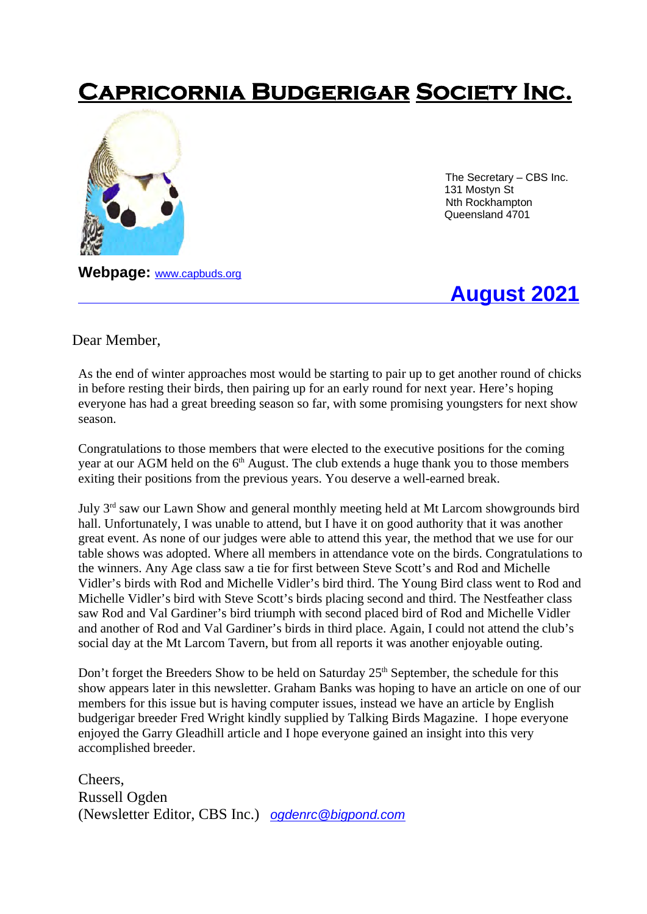# **Capricornia Budgerigar Society Inc.**



 The Secretary – CBS Inc. 131 Mostyn St Nth Rockhampton Queensland 4701

**Webpage:** www.capbuds.org

**August 2021** 

Dear Member,

As the end of winter approaches most would be starting to pair up to get another round of chicks in before resting their birds, then pairing up for an early round for next year. Here's hoping everyone has had a great breeding season so far, with some promising youngsters for next show season.

Congratulations to those members that were elected to the executive positions for the coming year at our AGM held on the  $6<sup>th</sup>$  August. The club extends a huge thank you to those members exiting their positions from the previous years. You deserve a well-earned break.

July 3<sup>rd</sup> saw our Lawn Show and general monthly meeting held at Mt Larcom showgrounds bird hall. Unfortunately, I was unable to attend, but I have it on good authority that it was another great event. As none of our judges were able to attend this year, the method that we use for our table shows was adopted. Where all members in attendance vote on the birds. Congratulations to the winners. Any Age class saw a tie for first between Steve Scott's and Rod and Michelle Vidler's birds with Rod and Michelle Vidler's bird third. The Young Bird class went to Rod and Michelle Vidler's bird with Steve Scott's birds placing second and third. The Nestfeather class saw Rod and Val Gardiner's bird triumph with second placed bird of Rod and Michelle Vidler and another of Rod and Val Gardiner's birds in third place. Again, I could not attend the club's social day at the Mt Larcom Tavern, but from all reports it was another enjoyable outing.

Don't forget the Breeders Show to be held on Saturday  $25<sup>th</sup>$  September, the schedule for this show appears later in this newsletter. Graham Banks was hoping to have an article on one of our members for this issue but is having computer issues, instead we have an article by English budgerigar breeder Fred Wright kindly supplied by Talking Birds Magazine. I hope everyone enjoyed the Garry Gleadhill article and I hope everyone gained an insight into this very accomplished breeder.

Cheers, Russell Ogden (Newsletter Editor, CBS Inc.) *ogdenrc@bigpond.com*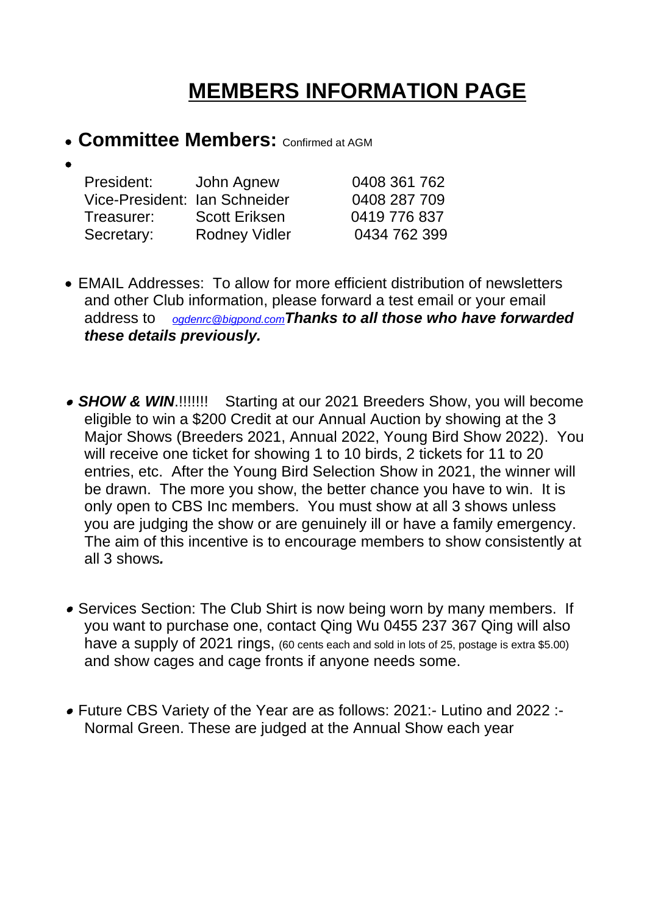# **MEMBERS INFORMATION PAGE**

**• Committee Members: Confirmed at AGM** 

| John Agnew                    | 0408 361 762 |
|-------------------------------|--------------|
| Vice-President: Ian Schneider | 0408 287 709 |
| <b>Scott Eriksen</b>          | 0419 776 837 |
| <b>Rodney Vidler</b>          | 0434 762 399 |
|                               |              |

- EMAIL Addresses: To allow for more efficient distribution of newsletters and other Club information, please forward a test email or your email address to *ogdenrc@bigpond.comThanks to all those who have forwarded these details previously.*
- *SHOW & WIN*.!!!!!!! Starting at our 2021 Breeders Show, you will become eligible to win a \$200 Credit at our Annual Auction by showing at the 3 Major Shows (Breeders 2021, Annual 2022, Young Bird Show 2022). You will receive one ticket for showing 1 to 10 birds, 2 tickets for 11 to 20 entries, etc. After the Young Bird Selection Show in 2021, the winner will be drawn. The more you show, the better chance you have to win. It is only open to CBS Inc members. You must show at all 3 shows unless you are judging the show or are genuinely ill or have a family emergency. The aim of this incentive is to encourage members to show consistently at all 3 shows*.*
- Services Section: The Club Shirt is now being worn by many members. If you want to purchase one, contact Qing Wu 0455 237 367 Qing will also have a supply of 2021 rings, (60 cents each and sold in lots of 25, postage is extra \$5.00) and show cages and cage fronts if anyone needs some.
- Future CBS Variety of the Year are as follows: 2021:- Lutino and 2022 :- Normal Green. These are judged at the Annual Show each year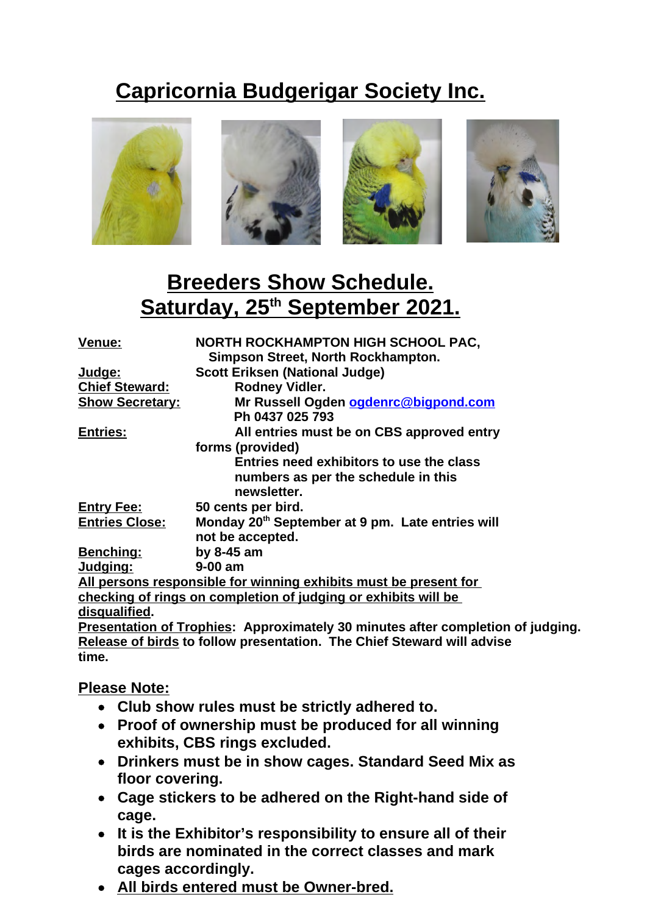# **Capricornia Budgerigar Society Inc.**



## **Breeders Show Schedule. Saturday, 25th September 2021.**

| <b>Venue:</b>          | <b>NORTH ROCKHAMPTON HIGH SCHOOL PAC,</b><br>Simpson Street, North Rockhampton. |
|------------------------|---------------------------------------------------------------------------------|
| <u>Judge:</u>          | <b>Scott Eriksen (National Judge)</b>                                           |
| <b>Chief Steward:</b>  | <b>Rodney Vidler.</b>                                                           |
| <b>Show Secretary:</b> | Mr Russell Ogden ogdenrc@bigpond.com                                            |
|                        | Ph 0437 025 793                                                                 |
| <b>Entries:</b>        | All entries must be on CBS approved entry                                       |
|                        | forms (provided)                                                                |
|                        | Entries need exhibitors to use the class                                        |
|                        | numbers as per the schedule in this                                             |
|                        | newsletter.                                                                     |
| <b>Entry Fee:</b>      | 50 cents per bird.                                                              |
| <b>Entries Close:</b>  | Monday 20 <sup>th</sup> September at 9 pm. Late entries will                    |
|                        | not be accepted.                                                                |
| <b>Benching:</b>       | by $8-45$ am                                                                    |
| <u>Judging:</u>        | 9-00 am                                                                         |
|                        | All persons responsible for winning exhibits must be present for                |
|                        | <u>checking of rings on completion of judging or exhibits will be</u>           |
| <u>disqualifie</u> d.  |                                                                                 |
|                        | <b>Dreantation of Traphine: Annravimately 30 minutes after completion of</b>    |

**Presentation of Trophies: Approximately 30 minutes after completion of judging. Release of birds to follow presentation. The Chief Steward will advise time.**

#### **Please Note:**

- **Club show rules must be strictly adhered to.**
- **Proof of ownership must be produced for all winning exhibits, CBS rings excluded.**
- **Drinkers must be in show cages. Standard Seed Mix as floor covering.**
- **Cage stickers to be adhered on the Right-hand side of cage.**
- **It is the Exhibitor's responsibility to ensure all of their birds are nominated in the correct classes and mark cages accordingly.**
- **All birds entered must be Owner-bred.**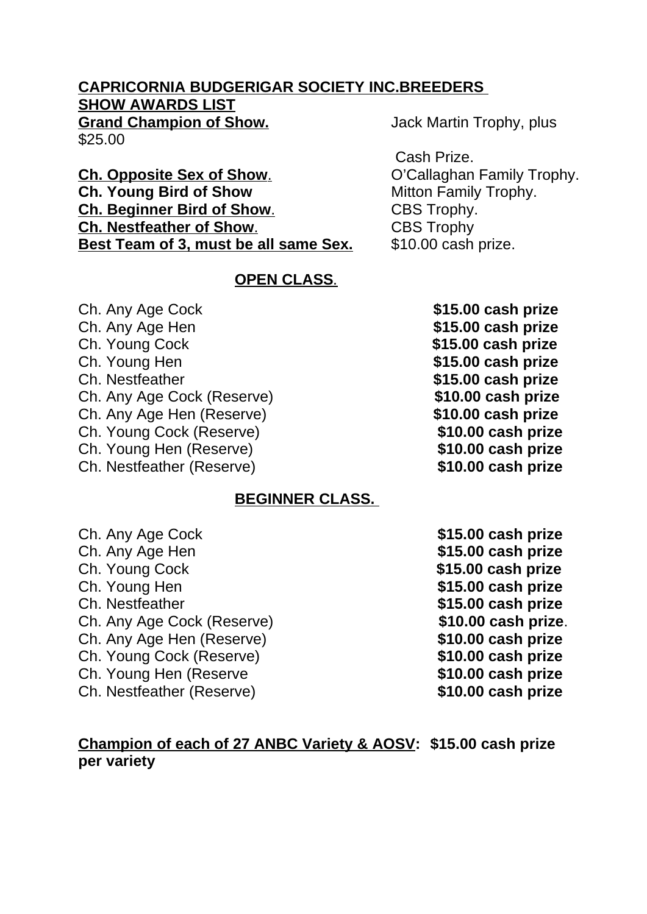#### **CAPRICORNIA BUDGERIGAR SOCIETY INC.BREEDERS SHOW AWARDS LIST Grand Champion of Show.** Jack Martin Trophy, plus

\$25.00

**Ch. Opposite Sex of Show. Ch. O'Callaghan Family Trophy. Ch. Young Bird of Show Mitton Family Trophy. Ch. Beginner Bird of Show.** CBS Trophy. **Ch. Nestfeather of Show.** CBS Trophy **Best Team of 3, must be all same Sex.** \$10.00 cash prize.

#### **OPEN CLASS.**

Ch. Any Age Cock **\$15.00 cash prize** Ch. Any Age Hen **by Ch. Any Age Hen** Ch. Young Cock **\$15.00 cash prize** Ch. Young Hen **\$15.00 cash prize** Ch. Nestfeather **\$15.00 cash prize** Ch. Any Age Cock (Reserve) **\$10.00 cash prize** Ch. Any Age Hen (Reserve) **\$10.00 cash prize** Ch. Young Cock (Reserve) **\$10.00 cash prize** Ch. Young Hen (Reserve) **\$10.00 cash prize** Ch. Nestfeather (Reserve) **\$10.00 cash prize**

#### **BEGINNER CLASS.**

Ch. Any Age Cock **\$15.00 cash prize** Ch. Any Age Hen **\$15.00 cash prize** Ch. Young Cock **\$15.00 cash prize** Ch. Young Hen **\$15.00 cash prize** Ch. Nestfeather **\$15.00 cash prize** Ch. Any Age Cock (Reserve) **\$10.00 cash prize**. Ch. Any Age Hen (Reserve) **\$10.00 cash prize** Ch. Young Cock (Reserve) **\$10.00 cash prize** Ch. Young Hen (Reserve **\$10.00 cash prize** Ch. Nestfeather (Reserve) **\$10.00 cash prize**

#### **Champion of each of 27 ANBC Variety & AOSV: \$15.00 cash prize per variety**

- 
- 

Cash Prize.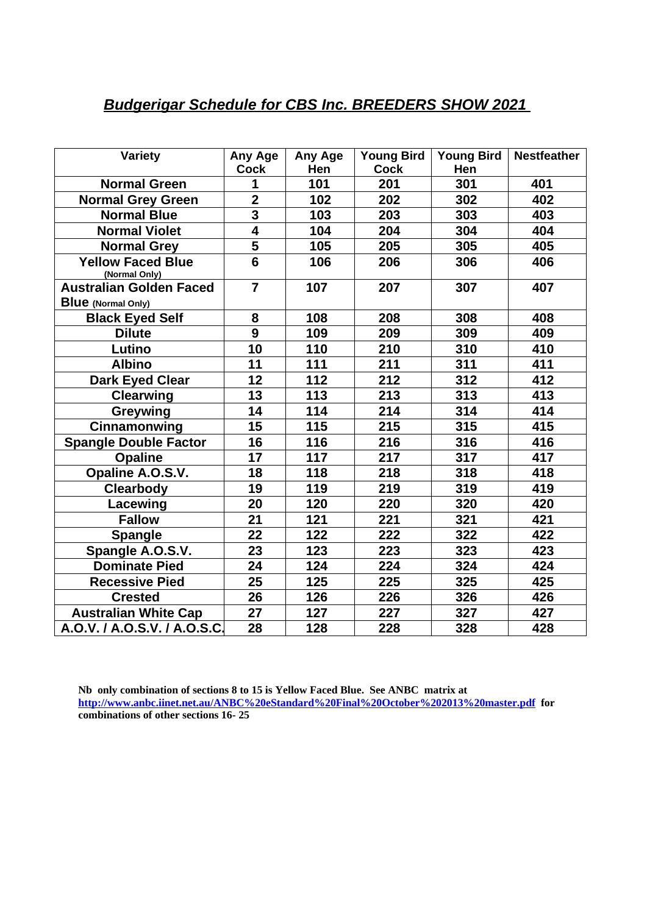#### *Budgerigar Schedule for CBS Inc. BREEDERS SHOW 2021*

| <b>Variety</b>                            | Any Age<br><b>Cock</b>  | Any Age<br>Hen | Young Bird<br><b>Cock</b> | <b>Young Bird</b><br>Hen | <b>Nestfeather</b> |
|-------------------------------------------|-------------------------|----------------|---------------------------|--------------------------|--------------------|
| <b>Normal Green</b>                       | 1                       | 101            | 201                       | 301                      | 401                |
| <b>Normal Grey Green</b>                  | $\overline{2}$          | 102            | 202                       | 302                      | 402                |
| <b>Normal Blue</b>                        | $\overline{\mathbf{3}}$ | 103            | 203                       | 303                      | 403                |
| <b>Normal Violet</b>                      | $\overline{\mathbf{4}}$ | 104            | 204                       | 304                      | 404                |
| <b>Normal Grey</b>                        | 5                       | 105            | 205                       | 305                      | 405                |
| <b>Yellow Faced Blue</b><br>(Normal Only) | $6\phantom{1}$          | 106            | 206                       | 306                      | 406                |
| <b>Australian Golden Faced</b>            | $\overline{\mathbf{7}}$ | 107            | 207                       | 307                      | 407                |
| <b>Blue</b> (Normal Only)                 |                         |                |                           |                          |                    |
| <b>Black Eyed Self</b>                    | 8                       | 108            | 208                       | 308                      | 408                |
| <b>Dilute</b>                             | 9                       | 109            | 209                       | 309                      | 409                |
| Lutino                                    | 10                      | 110            | 210                       | 310                      | 410                |
| <b>Albino</b>                             | 11                      | 111            | 211                       | 311                      | 411                |
| <b>Dark Eyed Clear</b>                    | 12                      | 112            | 212                       | 312                      | 412                |
| <b>Clearwing</b>                          | 13                      | 113            | 213                       | 313                      | 413                |
| Greywing                                  | 14                      | 114            | 214                       | 314                      | 414                |
| Cinnamonwing                              | 15                      | 115            | 215                       | 315                      | 415                |
| <b>Spangle Double Factor</b>              | 16                      | 116            | 216                       | 316                      | 416                |
| <b>Opaline</b>                            | 17                      | 117            | 217                       | 317                      | 417                |
| Opaline A.O.S.V.                          | 18                      | 118            | 218                       | 318                      | 418                |
| <b>Clearbody</b>                          | 19                      | 119            | 219                       | 319                      | 419                |
| Lacewing                                  | 20                      | 120            | 220                       | 320                      | 420                |
| <b>Fallow</b>                             | 21                      | 121            | 221                       | 321                      | 421                |
| <b>Spangle</b>                            | 22                      | 122            | 222                       | 322                      | 422                |
| Spangle A.O.S.V.                          | 23                      | 123            | 223                       | 323                      | 423                |
| <b>Dominate Pied</b>                      | 24                      | 124            | 224                       | 324                      | 424                |
| <b>Recessive Pied</b>                     | 25                      | 125            | 225                       | 325                      | 425                |
| <b>Crested</b>                            | 26                      | 126            | 226                       | 326                      | 426                |
| <b>Australian White Cap</b>               | 27                      | 127            | 227                       | 327                      | 427                |
| A.O.V. / A.O.S.V. / A.O.S.C.              | 28                      | 128            | 228                       | 328                      | 428                |

**Nb only combination of sections 8 to 15 is Yellow Faced Blue. See ANBC matrix at http://www.anbc.iinet.net.au/ANBC%20eStandard%20Final%20October%202013%20master.pdf for combinations of other sections 16- 25**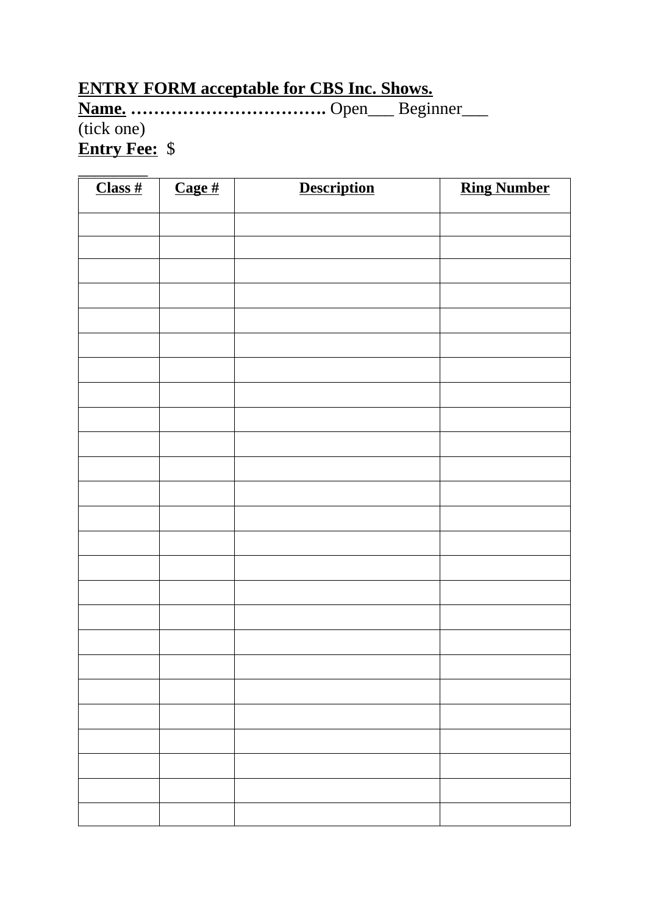## **ENTRY FORM acceptable for CBS Inc. Shows.**

**Name. …………………………….** Open\_\_\_ Beginner\_\_\_

## (tick one)

**Entry Fee:** \$

| Class# | $\overline{\text{Cage\#}}$ | <b>Description</b> | <b>Ring Number</b> |
|--------|----------------------------|--------------------|--------------------|
|        |                            |                    |                    |
|        |                            |                    |                    |
|        |                            |                    |                    |
|        |                            |                    |                    |
|        |                            |                    |                    |
|        |                            |                    |                    |
|        |                            |                    |                    |
|        |                            |                    |                    |
|        |                            |                    |                    |
|        |                            |                    |                    |
|        |                            |                    |                    |
|        |                            |                    |                    |
|        |                            |                    |                    |
|        |                            |                    |                    |
|        |                            |                    |                    |
|        |                            |                    |                    |
|        |                            |                    |                    |
|        |                            |                    |                    |
|        |                            |                    |                    |
|        |                            |                    |                    |
|        |                            |                    |                    |
|        |                            |                    |                    |
|        |                            |                    |                    |
|        |                            |                    |                    |
|        |                            |                    |                    |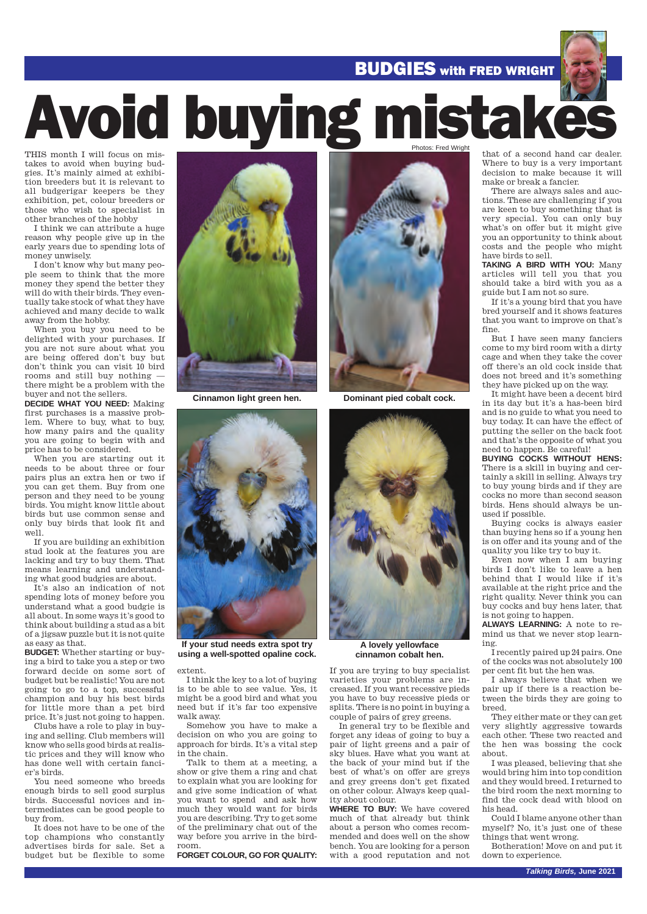#### BUDGIES with FRED WRIGHT

# Avoid buying mistake

THIS month I will focus on mistakes to avoid when buying budgies. It's mainly aimed at exhibition breeders but it is relevant to all budgerigar keepers be they exhibition, pet, colour breeders or those who wish to specialist in other branches of the hobby

I think we can attribute a huge reason why people give up in the early years due to spending lots of money unwisely.

I don't know why but many people seem to think that the more money they spend the better they will do with their birds. They eventually take stock of what they have achieved and many decide to walk away from the hobby.

When you buy you need to be delighted with your purchases. If you are not sure about what you are being offered don't buy but don't think you can visit 10 bird rooms and still buy nothing there might be a problem with the buyer and not the sellers.

**DECIDE WHAT YOU NEED:** Making first purchases is a massive problem. Where to buy, what to buy, how many pairs and the quality you are going to begin with and price has to be considered.

When you are starting out it needs to be about three or four pairs plus an extra hen or two if you can get them. Buy from one person and they need to be young birds. You might know little about birds but use common sense and only buy birds that look fit and well.

If you are building an exhibition stud look at the features you are lacking and try to buy them. That means learning and understanding what good budgies are about.

It's also an indication of not spending lots of money before you understand what a good budgie is all about. In some ways it's good to think about building a stud as a bit of a jigsaw puzzle but it is not quite as easy as that.

**BUDGET:** Whether starting or buying a bird to take you a step or two forward decide on some sort of budget but be realistic! You are not going to go to a top, successful champion and buy his best birds for little more than a pet bird price. It's just not going to happen.

Clubs have a role to play in buying and selling. Club members will know who sells good birds at realistic prices and they will know who has done well with certain fancier's birds.

You need someone who breeds enough birds to sell good surplus birds. Successful novices and intermediates can be good people to buy from.

It does not have to be one of the top champions who constantly advertises birds for sale. Set a budget but be flexible to some



**Cinnamon light green hen.**



**If your stud needs extra spot try using a well-spotted opaline cock.** 

extent.

I think the key to a lot of buying is to be able to see value. Yes, it might be a good bird and what you need but if it's far too expensive walk away.

Somehow you have to make a decision on who you are going to approach for birds. It's a vital step in the chain.

Talk to them at a meeting, a show or give them a ring and chat to explain what you are looking for and give some indication of what you want to spend and ask how much they would want for birds you are describing. Try to get some of the preliminary chat out of the way before you arrive in the birdroom.

**FORGET COLOUR, GO FOR QUALITY:**



**Dominant pied cobalt cock.**



**A lovely yellowface cinnamon cobalt hen.**

If you are trying to buy specialist varieties your problems are increased. If you want recessive pieds you have to buy recessive pieds or splits. There is no point in buying a couple of pairs of grey greens.

In general try to be flexible and forget any ideas of going to buy a pair of light greens and a pair of sky blues. Have what you want at the back of your mind but if the best of what's on offer are greys and grey greens don't get fixated on other colour. Always keep quality about colour.

**WHERE TO BUY:** We have covered much of that already but think about a person who comes recommended and does well on the show bench. You are looking for a person with a good reputation and not

that of a second hand car dealer. Where to buy is a very important decision to make because it will make or break a fancier.

There are always sales and auctions. These are challenging if you are keen to buy something that is very special. You can only buy what's on offer but it might give you an opportunity to think about costs and the people who might have birds to sell.

**TAKING A BIRD WITH YOU:** Many articles will tell you that you should take a bird with you as a guide but I am not so sure.

If it's a young bird that you have bred yourself and it shows features that you want to improve on that's fine.

But I have seen many fanciers come to my bird room with a dirty cage and when they take the cover off there's an old cock inside that does not breed and it's something they have picked up on the way.

It might have been a decent bird in its day but it's a has-been bird and is no guide to what you need to buy today. It can have the effect of putting the seller on the back foot and that's the opposite of what you need to happen. Be careful!

**BUYING COCKS WITHOUT HENS:** There is a skill in buying and certainly a skill in selling. Always try to buy young birds and if they are cocks no more than second season birds. Hens should always be unused if possible.

Buying cocks is always easier than buying hens so if a young hen is on offer and its young and of the quality you like try to buy it.

Even now when I am buying birds I don't like to leave a hen behind that I would like if it's available at the right price and the right quality. Never think you can buy cocks and buy hens later, that is not going to happen.

**ALWAYS LEARNING:** A note to remind us that we never stop learning.

I recently paired up 24 pairs. One of the cocks was not absolutely 100 per cent fit but the hen was.

I always believe that when we pair up if there is a reaction between the birds they are going to breed.

They either mate or they can get very slightly aggressive towards each other. These two reacted and the hen was bossing the cock about.

I was pleased, believing that she would bring him into top condition and they would breed. I returned to the bird room the next morning to find the cock dead with blood on his head.

Could I blame anyone other than myself? No, it's just one of these things that went wrong.

Botheration! Move on and put it down to experience.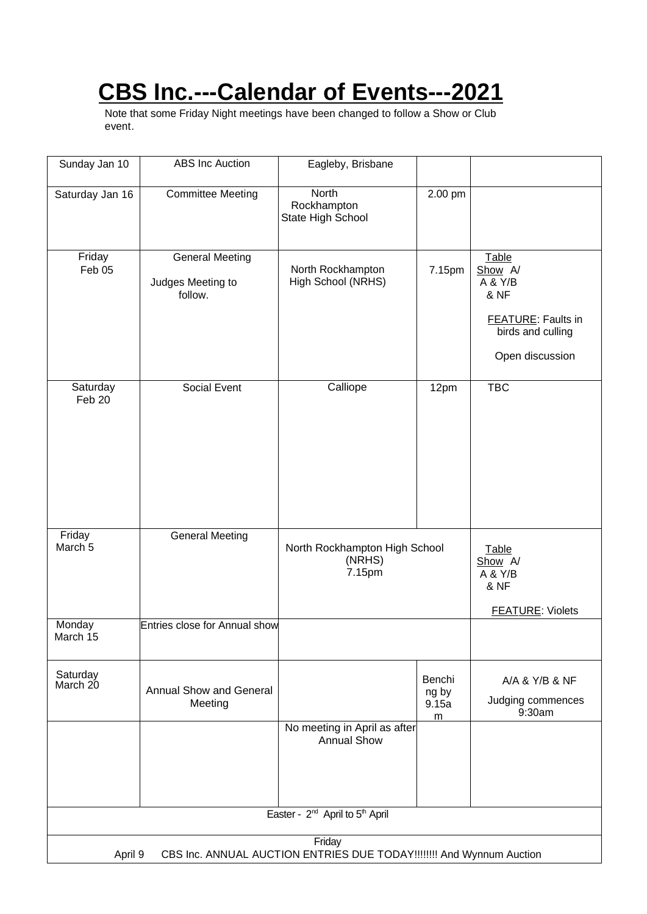# **CBS Inc.---Calendar of Events---2021**

Note that some Friday Night meetings have been changed to follow a Show or Club event.

| Sunday Jan 10                                           | <b>ABS</b> Inc Auction                                                                    | Eagleby, Brisbane                                  |                               |                                                                                                          |
|---------------------------------------------------------|-------------------------------------------------------------------------------------------|----------------------------------------------------|-------------------------------|----------------------------------------------------------------------------------------------------------|
| Saturday Jan 16                                         | <b>Committee Meeting</b>                                                                  | North<br>Rockhampton<br>State High School          | 2.00 pm                       |                                                                                                          |
| Friday<br>Feb 05                                        | <b>General Meeting</b><br>Judges Meeting to<br>follow.                                    | North Rockhampton<br>High School (NRHS)            | 7.15pm                        | Table<br>Show A/<br>A & Y/B<br>& NF<br><b>FEATURE:</b> Faults in<br>birds and culling<br>Open discussion |
| Saturday<br>Feb 20                                      | Social Event                                                                              | Calliope                                           | 12pm                          | <b>TBC</b>                                                                                               |
| Friday<br>March <sub>5</sub>                            | <b>General Meeting</b>                                                                    | North Rockhampton High School<br>(NRHS)<br>7.15pm  |                               | Table<br>Show A/<br>A & Y/B<br>& NF<br><b>FEATURE: Violets</b>                                           |
| Monday<br>March 15                                      | Entries close for Annual show                                                             |                                                    |                               |                                                                                                          |
| Saturday<br>March 20                                    | Annual Show and General<br>Meeting                                                        |                                                    | Benchi<br>ng by<br>9.15a<br>m | A/A & Y/B & NF<br>Judging commences<br>9:30am                                                            |
|                                                         |                                                                                           | No meeting in April as after<br><b>Annual Show</b> |                               |                                                                                                          |
| Easter - 2 <sup>nd</sup> April to 5 <sup>th</sup> April |                                                                                           |                                                    |                               |                                                                                                          |
|                                                         | Friday<br>CBS Inc. ANNUAL AUCTION ENTRIES DUE TODAY!!!!!!!! And Wynnum Auction<br>April 9 |                                                    |                               |                                                                                                          |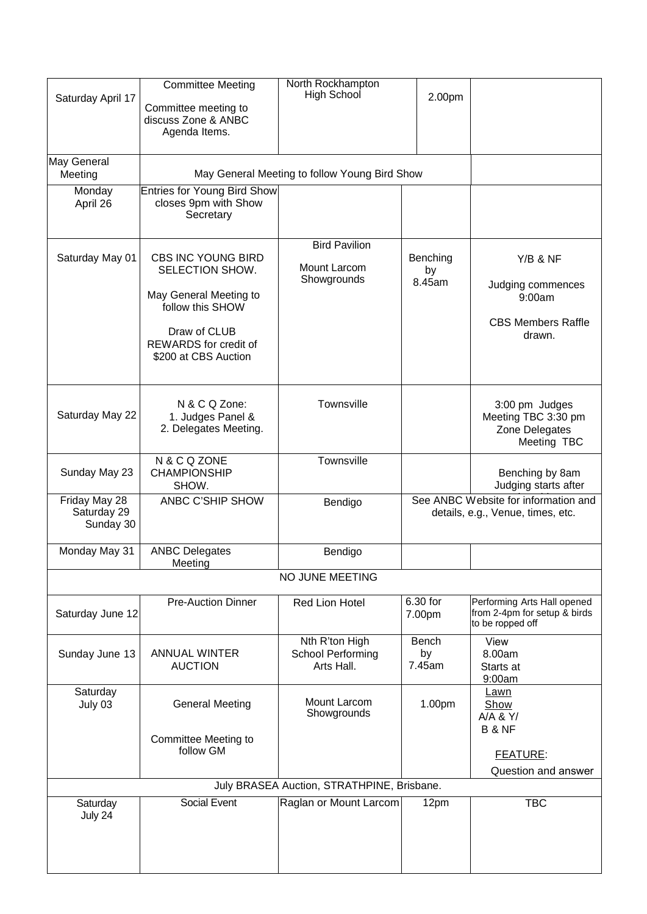| Saturday April 17                         | <b>Committee Meeting</b><br>Committee meeting to<br>discuss Zone & ANBC<br>Agenda Items.                                                             | North Rockhampton<br>High School                         | 2.00pm                   |                                                                                                |
|-------------------------------------------|------------------------------------------------------------------------------------------------------------------------------------------------------|----------------------------------------------------------|--------------------------|------------------------------------------------------------------------------------------------|
| May General<br>Meeting                    | May General Meeting to follow Young Bird Show                                                                                                        |                                                          |                          |                                                                                                |
| Monday<br>April 26                        | Entries for Young Bird Show<br>closes 9pm with Show<br>Secretary                                                                                     |                                                          |                          |                                                                                                |
| Saturday May 01                           | CBS INC YOUNG BIRD<br>SELECTION SHOW.<br>May General Meeting to<br>follow this SHOW<br>Draw of CLUB<br>REWARDS for credit of<br>\$200 at CBS Auction | <b>Bird Pavilion</b><br>Mount Larcom<br>Showgrounds      | Benching<br>by<br>8.45am | Y/B & NF<br>Judging commences<br>9:00am<br><b>CBS Members Raffle</b><br>drawn.                 |
| Saturday May 22                           | N & C Q Zone:<br>1. Judges Panel &<br>2. Delegates Meeting.                                                                                          | Townsville                                               |                          | 3:00 pm Judges<br>Meeting TBC 3:30 pm<br>Zone Delegates<br>Meeting TBC                         |
| Sunday May 23                             | N & C Q ZONE<br><b>CHAMPIONSHIP</b><br>SHOW.                                                                                                         | Townsville                                               |                          | Benching by 8am<br>Judging starts after                                                        |
| Friday May 28<br>Saturday 29<br>Sunday 30 | ANBC C'SHIP SHOW                                                                                                                                     | Bendigo                                                  |                          | See ANBC Website for information and<br>details, e.g., Venue, times, etc.                      |
| Monday May 31                             | <b>ANBC Delegates</b><br>Meeting                                                                                                                     | Bendigo                                                  |                          |                                                                                                |
|                                           |                                                                                                                                                      | NO JUNE MEETING                                          |                          |                                                                                                |
| Saturday June 12                          | <b>Pre-Auction Dinner</b>                                                                                                                            | <b>Red Lion Hotel</b>                                    | 6.30 for<br>7.00pm       | Performing Arts Hall opened<br>from 2-4pm for setup & birds<br>to be ropped off                |
| Sunday June 13                            | <b>ANNUAL WINTER</b><br><b>AUCTION</b>                                                                                                               | Nth R'ton High<br><b>School Performing</b><br>Arts Hall. | Bench<br>by<br>7.45am    | View<br>8.00am<br>Starts at<br>9:00am                                                          |
| Saturday<br>July 03                       | <b>General Meeting</b><br><b>Committee Meeting to</b><br>follow GM                                                                                   | Mount Larcom<br>Showgrounds                              | 1.00pm                   | <b>Lawn</b><br>Show<br>A/A & Y/<br><b>B &amp; NF</b><br><b>FEATURE:</b><br>Question and answer |
|                                           |                                                                                                                                                      | July BRASEA Auction, STRATHPINE, Brisbane.               |                          |                                                                                                |
| Saturday<br>July 24                       | <b>Social Event</b>                                                                                                                                  | Raglan or Mount Larcom                                   | 12pm                     | <b>TBC</b>                                                                                     |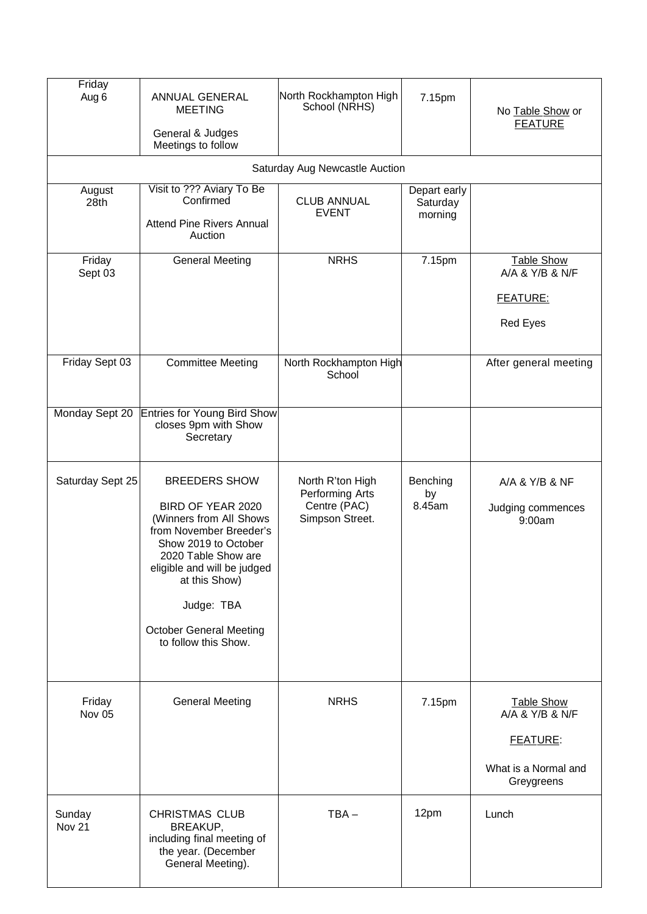| Friday<br>Aug 6         | ANNUAL GENERAL<br><b>MEETING</b><br>General & Judges<br>Meetings to follow                                                                                                                                                                                             | North Rockhampton High<br>School (NRHS)                                | 7.15pm                              | No Table Show or<br><b>FEATURE</b>                                                     |
|-------------------------|------------------------------------------------------------------------------------------------------------------------------------------------------------------------------------------------------------------------------------------------------------------------|------------------------------------------------------------------------|-------------------------------------|----------------------------------------------------------------------------------------|
|                         |                                                                                                                                                                                                                                                                        | Saturday Aug Newcastle Auction                                         |                                     |                                                                                        |
| August<br>28th          | Visit to ??? Aviary To Be<br>Confirmed<br><b>Attend Pine Rivers Annual</b><br>Auction                                                                                                                                                                                  | <b>CLUB ANNUAL</b><br><b>EVENT</b>                                     | Depart early<br>Saturday<br>morning |                                                                                        |
| Friday<br>Sept 03       | <b>General Meeting</b>                                                                                                                                                                                                                                                 | <b>NRHS</b>                                                            | 7.15pm                              | <b>Table Show</b><br>A/A & Y/B & N/F<br><b>FEATURE:</b><br><b>Red Eyes</b>             |
| Friday Sept 03          | <b>Committee Meeting</b>                                                                                                                                                                                                                                               | North Rockhampton High<br>School                                       |                                     | After general meeting                                                                  |
| Monday Sept 20          | <b>Entries for Young Bird Show</b><br>closes 9pm with Show<br>Secretary                                                                                                                                                                                                |                                                                        |                                     |                                                                                        |
| Saturday Sept 25        | <b>BREEDERS SHOW</b><br>BIRD OF YEAR 2020<br>(Winners from All Shows<br>from November Breeder's<br>Show 2019 to October<br>2020 Table Show are<br>eligible and will be judged<br>at this Show)<br>Judge: TBA<br><b>October General Meeting</b><br>to follow this Show. | North R'ton High<br>Performing Arts<br>Centre (PAC)<br>Simpson Street. | Benching<br>by<br>8.45am            | A/A & Y/B & NF<br>Judging commences<br>9:00am                                          |
| Friday<br>Nov 05        | <b>General Meeting</b>                                                                                                                                                                                                                                                 | <b>NRHS</b>                                                            | 7.15pm                              | <b>Table Show</b><br>A/A & Y/B & N/F<br>FEATURE:<br>What is a Normal and<br>Greygreens |
| Sunday<br><b>Nov 21</b> | <b>CHRISTMAS CLUB</b><br>BREAKUP,<br>including final meeting of<br>the year. (December<br>General Meeting).                                                                                                                                                            | $TBA -$                                                                | 12pm                                | Lunch                                                                                  |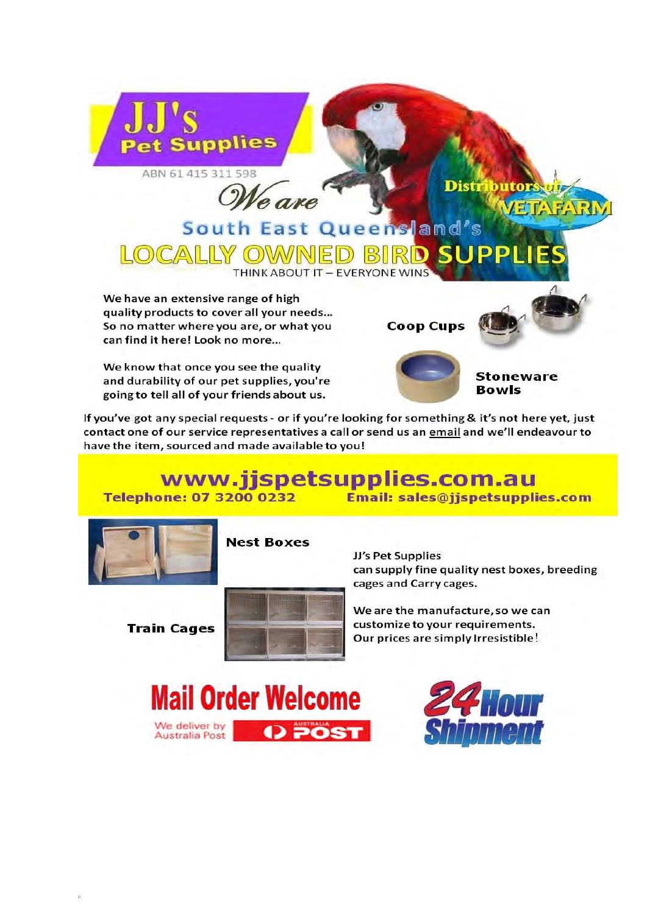

eare

### South East Queensland's CALLY OWV **THINK ABOUT IT - EVERYONE WINS**

We have an extensive range of high quality products to cover all your needs... So no matter where you are, or what you can find it here! Look no more...

We know that once you see the quality and durability of our pet supplies, you're going to tell all of your friends about us.



**Distr** 



butor

If you've got any special requests - or if you're looking for something & it's not here yet, just contact one of our service representatives a call or send us an email and we'll endeavour to have the item, sourced and made available to you!

#### www.jjspetsupplies.com.au **Email: sales@jjspetsupplies.com Telephone: 07 3200 0232**



**Nest Boxes** 

**Train Cages** 



JJ's Pet Supplies can supply fine quality nest boxes, breeding cages and Carry cages.

We are the manufacture, so we can customize to your requirements. Our prices are simply Irresistible!